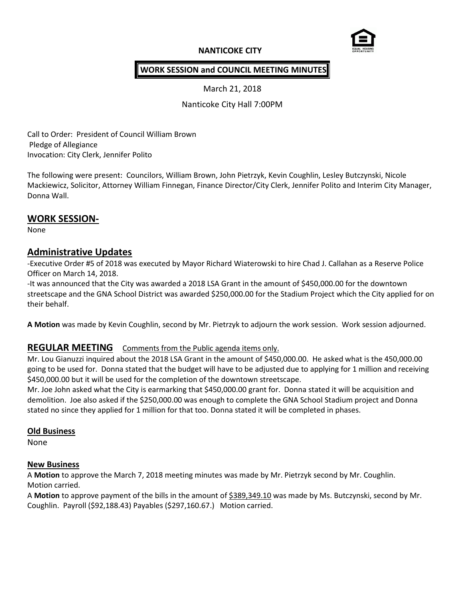# **NANTICOKE CITY**



## **WORK SESSION and COUNCIL MEETING MINUTES**

March 21, 2018

Nanticoke City Hall 7:00PM

Call to Order: President of Council William Brown Pledge of Allegiance Invocation: City Clerk, Jennifer Polito

The following were present: Councilors, William Brown, John Pietrzyk, Kevin Coughlin, Lesley Butczynski, Nicole Mackiewicz, Solicitor, Attorney William Finnegan, Finance Director/City Clerk, Jennifer Polito and Interim City Manager, Donna Wall.

## **WORK SESSION-**

None

# **Administrative Updates**

-Executive Order #5 of 2018 was executed by Mayor Richard Wiaterowski to hire Chad J. Callahan as a Reserve Police Officer on March 14, 2018.

-It was announced that the City was awarded a 2018 LSA Grant in the amount of \$450,000.00 for the downtown streetscape and the GNA School District was awarded \$250,000.00 for the Stadium Project which the City applied for on their behalf.

**A Motion** was made by Kevin Coughlin, second by Mr. Pietrzyk to adjourn the work session. Work session adjourned.

### **REGULAR MEETING** Comments from the Public agenda items only.

Mr. Lou Gianuzzi inquired about the 2018 LSA Grant in the amount of \$450,000.00. He asked what is the 450,000.00 going to be used for. Donna stated that the budget will have to be adjusted due to applying for 1 million and receiving \$450,000.00 but it will be used for the completion of the downtown streetscape.

Mr. Joe John asked what the City is earmarking that \$450,000.00 grant for. Donna stated it will be acquisition and demolition. Joe also asked if the \$250,000.00 was enough to complete the GNA School Stadium project and Donna stated no since they applied for 1 million for that too. Donna stated it will be completed in phases.

### **Old Business**

None

### **New Business**

A **Motion** to approve the March 7, 2018 meeting minutes was made by Mr. Pietrzyk second by Mr. Coughlin. Motion carried.

A **Motion** to approve payment of the bills in the amount of \$389,349.10 was made by Ms. Butczynski, second by Mr. Coughlin. Payroll (\$92,188.43) Payables (\$297,160.67.) Motion carried.